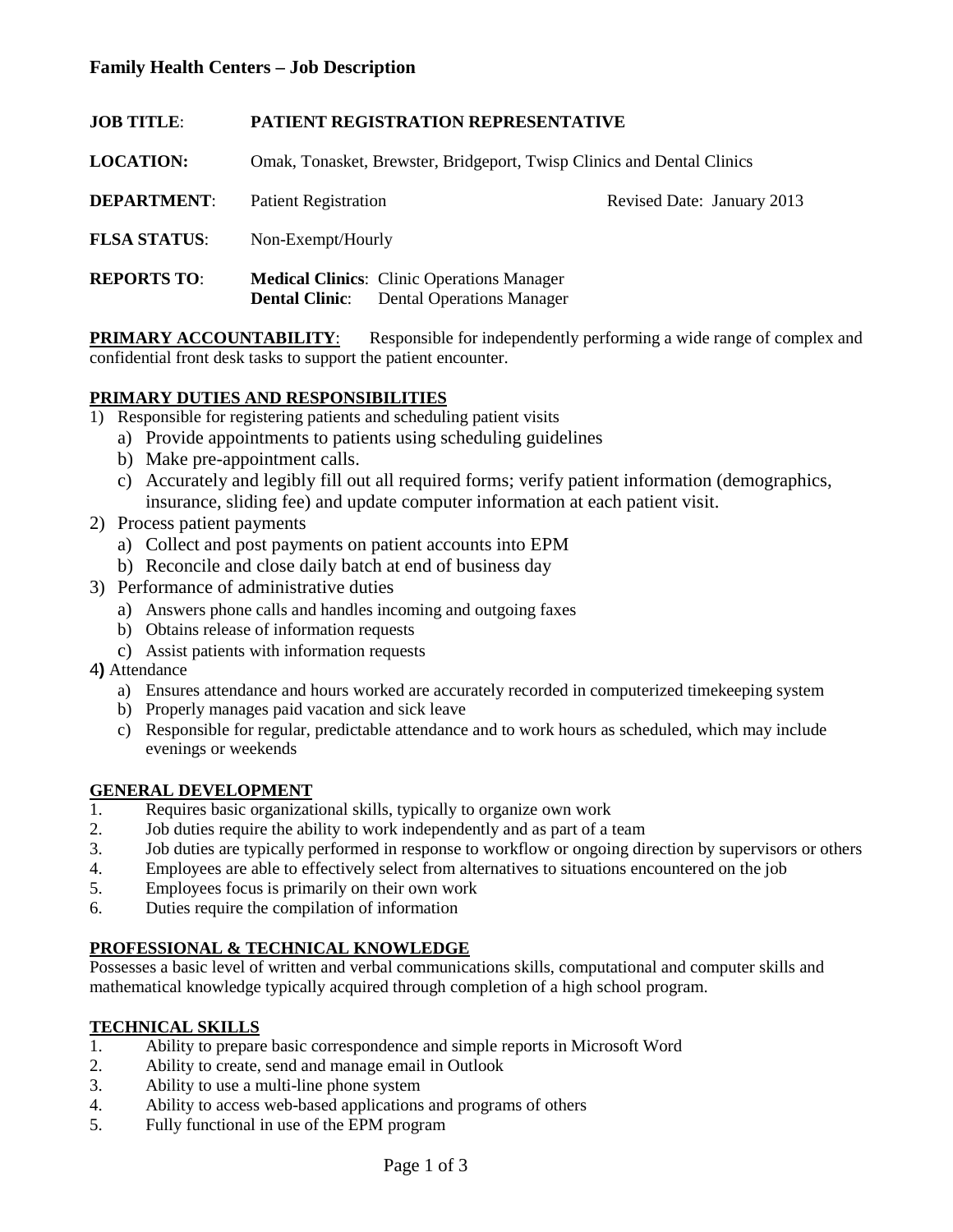# **Family Health Centers – Job Description**

| <b>JOB TITLE:</b>   | <b>PATIENT REGISTRATION REPRESENTATIVE</b>                                                           |                            |  |  |  |  |
|---------------------|------------------------------------------------------------------------------------------------------|----------------------------|--|--|--|--|
| <b>LOCATION:</b>    | Omak, Tonasket, Brewster, Bridgeport, Twisp Clinics and Dental Clinics                               |                            |  |  |  |  |
| <b>DEPARTMENT:</b>  | <b>Patient Registration</b>                                                                          | Revised Date: January 2013 |  |  |  |  |
| <b>FLSA STATUS:</b> | Non-Exempt/Hourly                                                                                    |                            |  |  |  |  |
| <b>REPORTS TO:</b>  | <b>Medical Clinics:</b> Clinic Operations Manager<br><b>Dental Clinic:</b> Dental Operations Manager |                            |  |  |  |  |

**PRIMARY ACCOUNTABILITY:** Responsible for independently performing a wide range of complex and confidential front desk tasks to support the patient encounter.

### **PRIMARY DUTIES AND RESPONSIBILITIES**

- 1) Responsible for registering patients and scheduling patient visits
	- a) Provide appointments to patients using scheduling guidelines
	- b) Make pre-appointment calls.
	- c) Accurately and legibly fill out all required forms; verify patient information (demographics, insurance, sliding fee) and update computer information at each patient visit.
- 2) Process patient payments
	- a) Collect and post payments on patient accounts into EPM
	- b) Reconcile and close daily batch at end of business day
- 3) Performance of administrative duties
	- a) Answers phone calls and handles incoming and outgoing faxes
	- b) Obtains release of information requests
	- c) Assist patients with information requests
- 4**)** Attendance
	- a) Ensures attendance and hours worked are accurately recorded in computerized timekeeping system
	- b) Properly manages paid vacation and sick leave
	- c) Responsible for regular, predictable attendance and to work hours as scheduled, which may include evenings or weekends

#### **GENERAL DEVELOPMENT**

- 1. Requires basic organizational skills, typically to organize own work
- 2. Job duties require the ability to work independently and as part of a team
- 3. Job duties are typically performed in response to workflow or ongoing direction by supervisors or others
- 4. Employees are able to effectively select from alternatives to situations encountered on the job
- 5. Employees focus is primarily on their own work
- 6. Duties require the compilation of information

### **PROFESSIONAL & TECHNICAL KNOWLEDGE**

Possesses a basic level of written and verbal communications skills, computational and computer skills and mathematical knowledge typically acquired through completion of a high school program.

# **TECHNICAL SKILLS**<br>1 Ability to prepare

- 1. Ability to prepare basic correspondence and simple reports in Microsoft Word
- 2. Ability to create, send and manage email in Outlook
- 3. Ability to use a multi-line phone system
- 4. Ability to access web-based applications and programs of others
- 5. Fully functional in use of the EPM program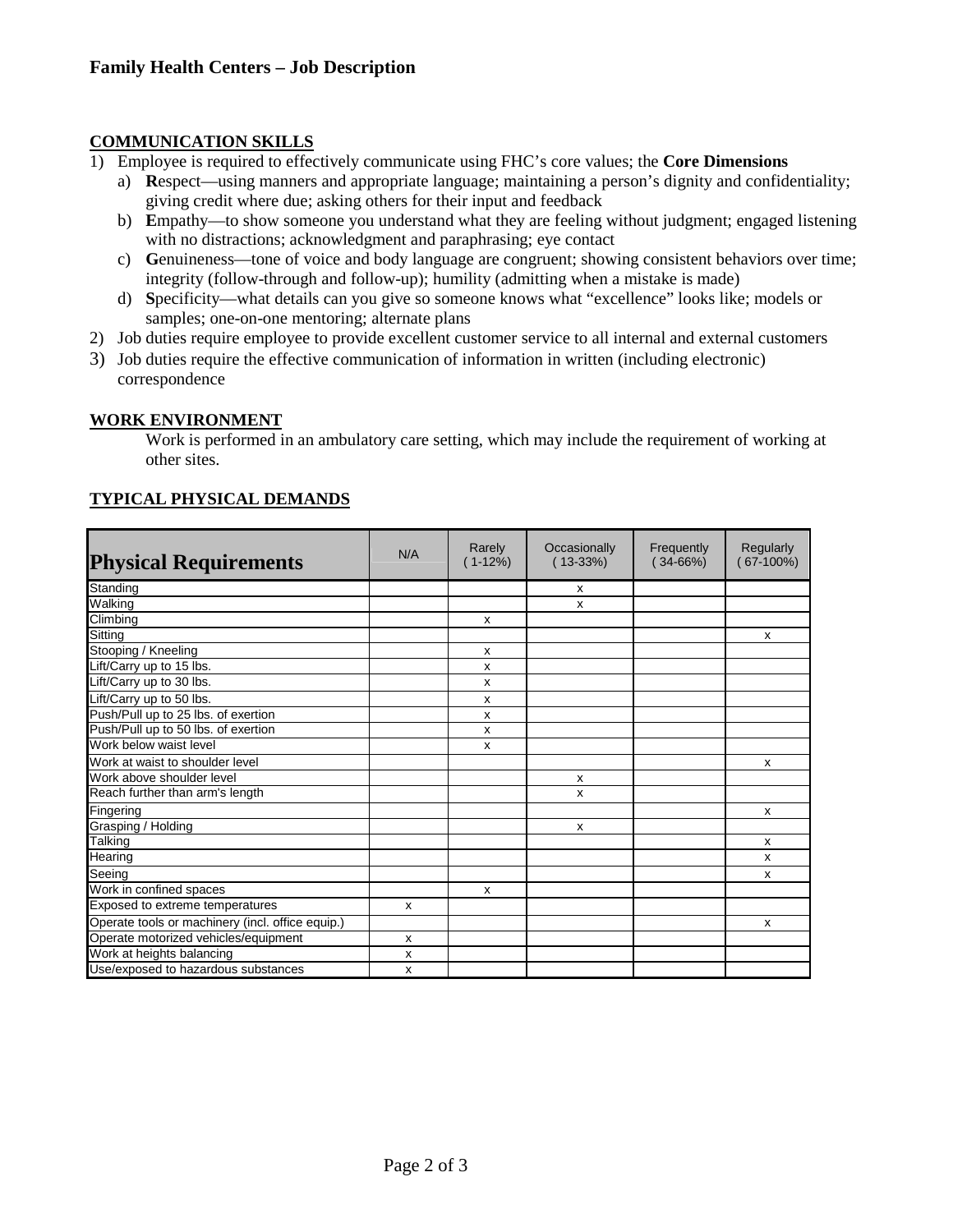### **COMMUNICATION SKILLS**

- 1) Employee is required to effectively communicate using FHC's core values; the **Core Dimensions**
	- a) **R**espect—using manners and appropriate language; maintaining a person's dignity and confidentiality; giving credit where due; asking others for their input and feedback
	- b) **E**mpathy—to show someone you understand what they are feeling without judgment; engaged listening with no distractions; acknowledgment and paraphrasing; eye contact
	- c) **G**enuineness—tone of voice and body language are congruent; showing consistent behaviors over time; integrity (follow-through and follow-up); humility (admitting when a mistake is made)
	- d) **S**pecificity—what details can you give so someone knows what "excellence" looks like; models or samples; one-on-one mentoring; alternate plans
- 2) Job duties require employee to provide excellent customer service to all internal and external customers
- 3) Job duties require the effective communication of information in written (including electronic) correspondence

### **WORK ENVIRONMENT**

Work is performed in an ambulatory care setting, which may include the requirement of working at other sites.

|--|

| <b>Physical Requirements</b>                     | N/A | Rarely<br>$(1-12%)$ | Occasionally<br>$(13-33%)$ | Frequently<br>$(34-66%)$ | Regularly<br>67-100%) |
|--------------------------------------------------|-----|---------------------|----------------------------|--------------------------|-----------------------|
| Standing                                         |     |                     | x                          |                          |                       |
| Walking                                          |     |                     | x                          |                          |                       |
| Climbing                                         |     | x                   |                            |                          |                       |
| Sitting                                          |     |                     |                            |                          | X                     |
| Stooping / Kneeling                              |     | x                   |                            |                          |                       |
| Lift/Carry up to 15 lbs.                         |     | x                   |                            |                          |                       |
| Lift/Carry up to 30 lbs.                         |     | x                   |                            |                          |                       |
| Lift/Carry up to 50 lbs.                         |     | x                   |                            |                          |                       |
| Push/Pull up to 25 lbs. of exertion              |     | x                   |                            |                          |                       |
| Push/Pull up to 50 lbs. of exertion              |     | x                   |                            |                          |                       |
| Work below waist level                           |     | x                   |                            |                          |                       |
| Work at waist to shoulder level                  |     |                     |                            |                          | х                     |
| Work above shoulder level                        |     |                     | X                          |                          |                       |
| Reach further than arm's length                  |     |                     | x                          |                          |                       |
| Fingering                                        |     |                     |                            |                          | X                     |
| Grasping / Holding                               |     |                     | X                          |                          |                       |
| Talking                                          |     |                     |                            |                          | x                     |
| Hearing                                          |     |                     |                            |                          | X                     |
| Seeing                                           |     |                     |                            |                          | X                     |
| Work in confined spaces                          |     | x                   |                            |                          |                       |
| Exposed to extreme temperatures                  | X   |                     |                            |                          |                       |
| Operate tools or machinery (incl. office equip.) |     |                     |                            |                          | X                     |
| Operate motorized vehicles/equipment             | X   |                     |                            |                          |                       |
| Work at heights balancing                        | х   |                     |                            |                          |                       |
| Use/exposed to hazardous substances              | x   |                     |                            |                          |                       |